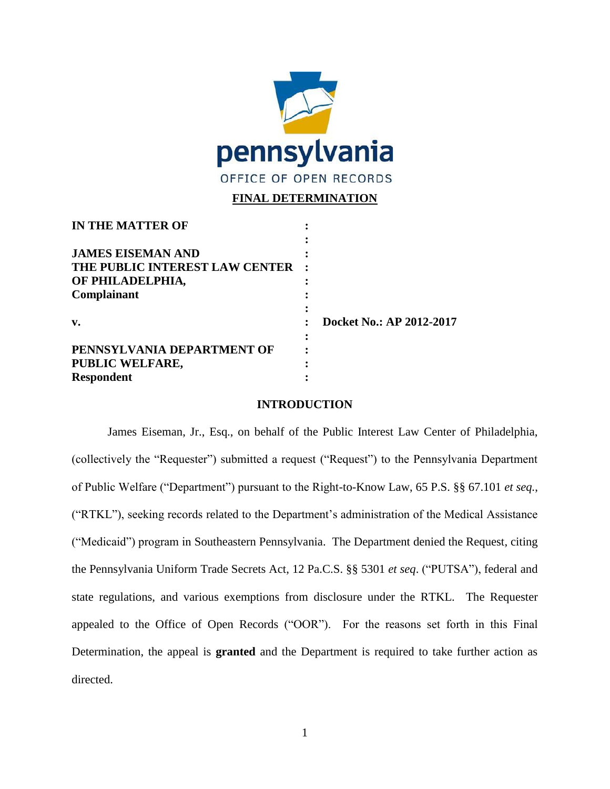

# **FINAL DETERMINATION**

| <b>IN THE MATTER OF</b>        |                          |
|--------------------------------|--------------------------|
|                                |                          |
| <b>JAMES EISEMAN AND</b>       |                          |
| THE PUBLIC INTEREST LAW CENTER |                          |
| OF PHILADELPHIA,               |                          |
| Complainant                    |                          |
|                                |                          |
| $\mathbf{v}$ .                 | Docket No.: AP 2012-2017 |
|                                |                          |
| PENNSYLVANIA DEPARTMENT OF     |                          |
| PUBLIC WELFARE,                |                          |
| <b>Respondent</b>              |                          |

#### **INTRODUCTION**

James Eiseman, Jr., Esq., on behalf of the Public Interest Law Center of Philadelphia, (collectively the "Requester") submitted a request ("Request") to the Pennsylvania Department of Public Welfare ("Department") pursuant to the Right-to-Know Law, 65 P.S. §§ 67.101 *et seq.*, ("RTKL"), seeking records related to the Department's administration of the Medical Assistance ("Medicaid") program in Southeastern Pennsylvania. The Department denied the Request, citing the Pennsylvania Uniform Trade Secrets Act, 12 Pa.C.S. §§ 5301 *et seq*. ("PUTSA"), federal and state regulations, and various exemptions from disclosure under the RTKL. The Requester appealed to the Office of Open Records ("OOR"). For the reasons set forth in this Final Determination, the appeal is **granted** and the Department is required to take further action as directed.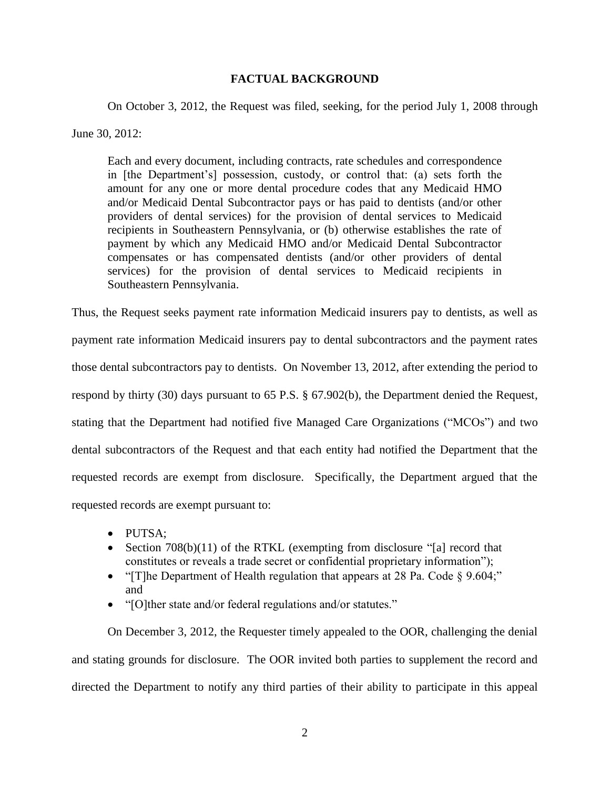### **FACTUAL BACKGROUND**

On October 3, 2012, the Request was filed, seeking, for the period July 1, 2008 through

June 30, 2012:

Each and every document, including contracts, rate schedules and correspondence in [the Department's] possession, custody, or control that: (a) sets forth the amount for any one or more dental procedure codes that any Medicaid HMO and/or Medicaid Dental Subcontractor pays or has paid to dentists (and/or other providers of dental services) for the provision of dental services to Medicaid recipients in Southeastern Pennsylvania, or (b) otherwise establishes the rate of payment by which any Medicaid HMO and/or Medicaid Dental Subcontractor compensates or has compensated dentists (and/or other providers of dental services) for the provision of dental services to Medicaid recipients in Southeastern Pennsylvania.

Thus, the Request seeks payment rate information Medicaid insurers pay to dentists, as well as

payment rate information Medicaid insurers pay to dental subcontractors and the payment rates those dental subcontractors pay to dentists. On November 13, 2012, after extending the period to respond by thirty (30) days pursuant to 65 P.S. § 67.902(b), the Department denied the Request, stating that the Department had notified five Managed Care Organizations ("MCOs") and two dental subcontractors of the Request and that each entity had notified the Department that the requested records are exempt from disclosure. Specifically, the Department argued that the requested records are exempt pursuant to:

- PUTSA:
- Section 708(b)(11) of the RTKL (exempting from disclosure "[a] record that constitutes or reveals a trade secret or confidential proprietary information");
- "[T]he Department of Health regulation that appears at 28 Pa. Code § 9.604;" and
- "[O]ther state and/or federal regulations and/or statutes."

On December 3, 2012, the Requester timely appealed to the OOR, challenging the denial and stating grounds for disclosure. The OOR invited both parties to supplement the record and directed the Department to notify any third parties of their ability to participate in this appeal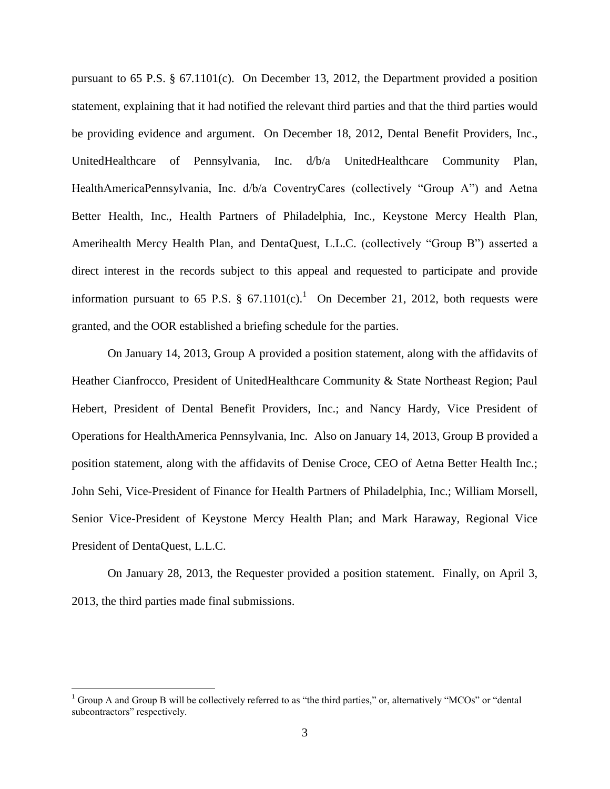pursuant to 65 P.S. § 67.1101(c). On December 13, 2012, the Department provided a position statement, explaining that it had notified the relevant third parties and that the third parties would be providing evidence and argument. On December 18, 2012, Dental Benefit Providers, Inc., UnitedHealthcare of Pennsylvania, Inc. d/b/a UnitedHealthcare Community Plan, HealthAmericaPennsylvania, Inc. d/b/a CoventryCares (collectively "Group A") and Aetna Better Health, Inc., Health Partners of Philadelphia, Inc., Keystone Mercy Health Plan, Amerihealth Mercy Health Plan, and DentaQuest, L.L.C. (collectively "Group B") asserted a direct interest in the records subject to this appeal and requested to participate and provide information pursuant to 65 P.S. § 67.1101(c).<sup>1</sup> On December 21, 2012, both requests were granted, and the OOR established a briefing schedule for the parties.

On January 14, 2013, Group A provided a position statement, along with the affidavits of Heather Cianfrocco, President of UnitedHealthcare Community & State Northeast Region; Paul Hebert, President of Dental Benefit Providers, Inc.; and Nancy Hardy, Vice President of Operations for HealthAmerica Pennsylvania, Inc. Also on January 14, 2013, Group B provided a position statement, along with the affidavits of Denise Croce, CEO of Aetna Better Health Inc.; John Sehi, Vice-President of Finance for Health Partners of Philadelphia, Inc.; William Morsell, Senior Vice-President of Keystone Mercy Health Plan; and Mark Haraway, Regional Vice President of DentaQuest, L.L.C.

On January 28, 2013, the Requester provided a position statement. Finally, on April 3, 2013, the third parties made final submissions.

 $\overline{a}$ 

<sup>&</sup>lt;sup>1</sup> Group A and Group B will be collectively referred to as "the third parties," or, alternatively "MCOs" or "dental subcontractors" respectively.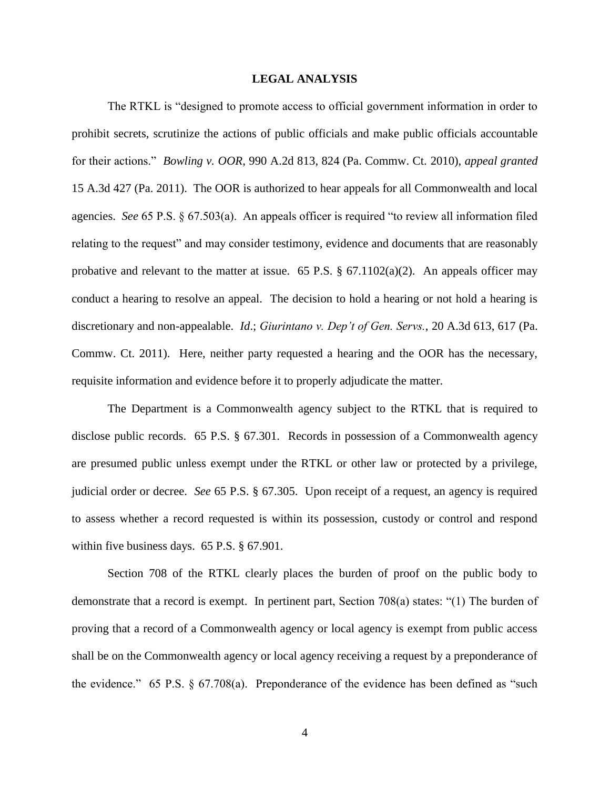#### **LEGAL ANALYSIS**

The RTKL is "designed to promote access to official government information in order to prohibit secrets, scrutinize the actions of public officials and make public officials accountable for their actions." *Bowling v. OOR*, 990 A.2d 813, 824 (Pa. Commw. Ct. 2010), *appeal granted*  15 A.3d 427 (Pa. 2011). The OOR is authorized to hear appeals for all Commonwealth and local agencies. *See* 65 P.S. § 67.503(a). An appeals officer is required "to review all information filed relating to the request" and may consider testimony, evidence and documents that are reasonably probative and relevant to the matter at issue. 65 P.S.  $\S$  67.1102(a)(2). An appeals officer may conduct a hearing to resolve an appeal. The decision to hold a hearing or not hold a hearing is discretionary and non-appealable. *Id*.; *Giurintano v. Dep't of Gen. Servs.*, 20 A.3d 613, 617 (Pa. Commw. Ct. 2011). Here, neither party requested a hearing and the OOR has the necessary, requisite information and evidence before it to properly adjudicate the matter.

The Department is a Commonwealth agency subject to the RTKL that is required to disclose public records. 65 P.S. § 67.301. Records in possession of a Commonwealth agency are presumed public unless exempt under the RTKL or other law or protected by a privilege, judicial order or decree. *See* 65 P.S. § 67.305. Upon receipt of a request, an agency is required to assess whether a record requested is within its possession, custody or control and respond within five business days. 65 P.S. § 67.901.

Section 708 of the RTKL clearly places the burden of proof on the public body to demonstrate that a record is exempt. In pertinent part, Section 708(a) states: "(1) The burden of proving that a record of a Commonwealth agency or local agency is exempt from public access shall be on the Commonwealth agency or local agency receiving a request by a preponderance of the evidence." 65 P.S. § 67.708(a). Preponderance of the evidence has been defined as "such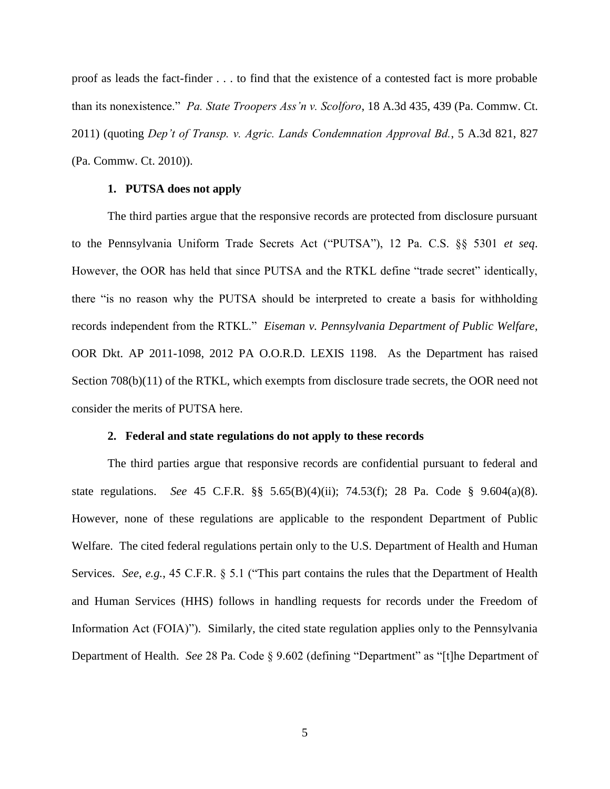proof as leads the fact-finder . . . to find that the existence of a contested fact is more probable than its nonexistence." *Pa. State Troopers Ass'n v. Scolforo*, 18 A.3d 435, 439 (Pa. Commw. Ct. 2011) (quoting *Dep't of Transp. v. Agric. Lands Condemnation Approval Bd.*, 5 A.3d 821, 827 (Pa. Commw. Ct. 2010)).

#### **1. PUTSA does not apply**

The third parties argue that the responsive records are protected from disclosure pursuant to the Pennsylvania Uniform Trade Secrets Act ("PUTSA"), 12 Pa. C.S. §§ 5301 *et seq*. However, the OOR has held that since PUTSA and the RTKL define "trade secret" identically, there "is no reason why the PUTSA should be interpreted to create a basis for withholding records independent from the RTKL." *Eiseman v. Pennsylvania Department of Public Welfare*, OOR Dkt. AP 2011-1098, 2012 PA O.O.R.D. LEXIS 1198. As the Department has raised Section 708(b)(11) of the RTKL, which exempts from disclosure trade secrets, the OOR need not consider the merits of PUTSA here.

#### **2. Federal and state regulations do not apply to these records**

The third parties argue that responsive records are confidential pursuant to federal and state regulations. *See* 45 C.F.R. §§ 5.65(B)(4)(ii); 74.53(f); 28 Pa. Code § 9.604(a)(8). However, none of these regulations are applicable to the respondent Department of Public Welfare. The cited federal regulations pertain only to the U.S. Department of Health and Human Services. *See*, *e.g.*, 45 C.F.R. § 5.1 ("This part contains the rules that the Department of Health and Human Services (HHS) follows in handling requests for records under the Freedom of Information Act (FOIA)"). Similarly, the cited state regulation applies only to the Pennsylvania Department of Health. *See* 28 Pa. Code § 9.602 (defining "Department" as "[t]he Department of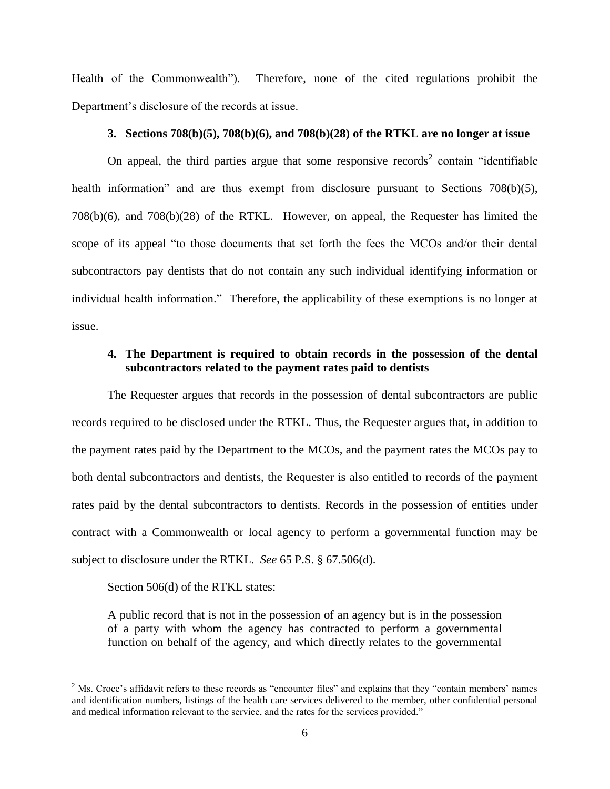Health of the Commonwealth"). Therefore, none of the cited regulations prohibit the Department's disclosure of the records at issue.

# **3. Sections 708(b)(5), 708(b)(6), and 708(b)(28) of the RTKL are no longer at issue**

On appeal, the third parties argue that some responsive records<sup>2</sup> contain "identifiable" health information" and are thus exempt from disclosure pursuant to Sections 708(b)(5), 708(b)(6), and 708(b)(28) of the RTKL. However, on appeal, the Requester has limited the scope of its appeal "to those documents that set forth the fees the MCOs and/or their dental subcontractors pay dentists that do not contain any such individual identifying information or individual health information." Therefore, the applicability of these exemptions is no longer at issue.

## **4. The Department is required to obtain records in the possession of the dental subcontractors related to the payment rates paid to dentists**

The Requester argues that records in the possession of dental subcontractors are public records required to be disclosed under the RTKL. Thus, the Requester argues that, in addition to the payment rates paid by the Department to the MCOs, and the payment rates the MCOs pay to both dental subcontractors and dentists, the Requester is also entitled to records of the payment rates paid by the dental subcontractors to dentists. Records in the possession of entities under contract with a Commonwealth or local agency to perform a governmental function may be subject to disclosure under the RTKL. *See* 65 P.S. § 67.506(d).

Section 506(d) of the RTKL states:

 $\overline{a}$ 

A public record that is not in the possession of an agency but is in the possession of a party with whom the agency has contracted to perform a governmental function on behalf of the agency, and which directly relates to the governmental

 $2$  Ms. Croce's affidavit refers to these records as "encounter files" and explains that they "contain members' names and identification numbers, listings of the health care services delivered to the member, other confidential personal and medical information relevant to the service, and the rates for the services provided."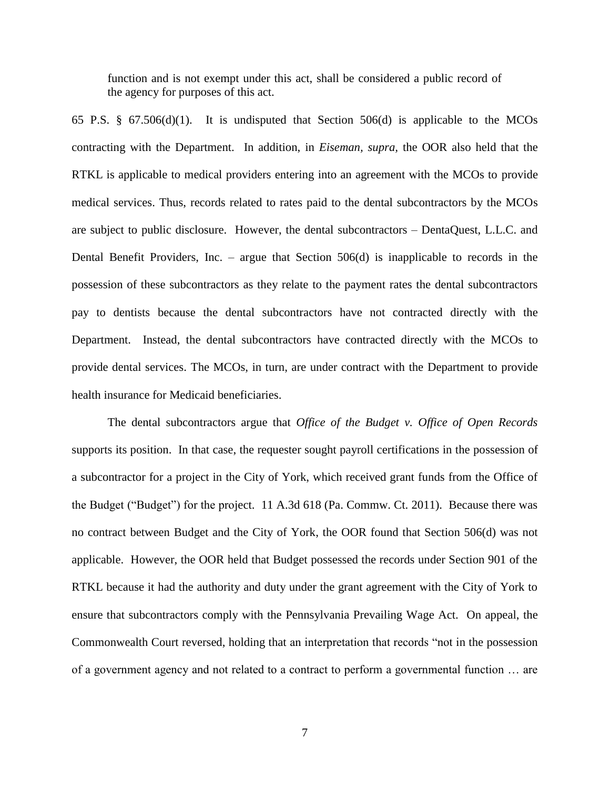function and is not exempt under this act, shall be considered a public record of the agency for purposes of this act.

65 P.S. § 67.506(d)(1). It is undisputed that Section 506(d) is applicable to the MCOs contracting with the Department. In addition, in *Eiseman, supra,* the OOR also held that the RTKL is applicable to medical providers entering into an agreement with the MCOs to provide medical services. Thus, records related to rates paid to the dental subcontractors by the MCOs are subject to public disclosure. However, the dental subcontractors – DentaQuest, L.L.C. and Dental Benefit Providers, Inc. – argue that Section 506(d) is inapplicable to records in the possession of these subcontractors as they relate to the payment rates the dental subcontractors pay to dentists because the dental subcontractors have not contracted directly with the Department. Instead, the dental subcontractors have contracted directly with the MCOs to provide dental services. The MCOs, in turn, are under contract with the Department to provide health insurance for Medicaid beneficiaries.

The dental subcontractors argue that *Office of the Budget v. Office of Open Records* supports its position. In that case, the requester sought payroll certifications in the possession of a subcontractor for a project in the City of York, which received grant funds from the Office of the Budget ("Budget") for the project. 11 A.3d 618 (Pa. Commw. Ct. 2011). Because there was no contract between Budget and the City of York, the OOR found that Section 506(d) was not applicable. However, the OOR held that Budget possessed the records under Section 901 of the RTKL because it had the authority and duty under the grant agreement with the City of York to ensure that subcontractors comply with the Pennsylvania Prevailing Wage Act. On appeal, the Commonwealth Court reversed, holding that an interpretation that records "not in the possession of a government agency and not related to a contract to perform a governmental function … are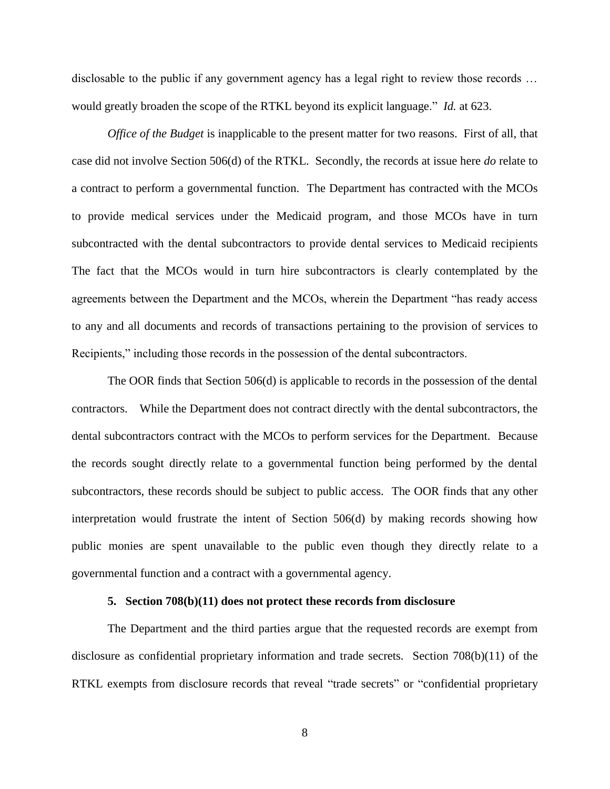disclosable to the public if any government agency has a legal right to review those records … would greatly broaden the scope of the RTKL beyond its explicit language." *Id.* at 623.

*Office of the Budget* is inapplicable to the present matter for two reasons. First of all, that case did not involve Section 506(d) of the RTKL. Secondly, the records at issue here *do* relate to a contract to perform a governmental function. The Department has contracted with the MCOs to provide medical services under the Medicaid program, and those MCOs have in turn subcontracted with the dental subcontractors to provide dental services to Medicaid recipients The fact that the MCOs would in turn hire subcontractors is clearly contemplated by the agreements between the Department and the MCOs, wherein the Department "has ready access to any and all documents and records of transactions pertaining to the provision of services to Recipients," including those records in the possession of the dental subcontractors.

The OOR finds that Section 506(d) is applicable to records in the possession of the dental contractors. While the Department does not contract directly with the dental subcontractors, the dental subcontractors contract with the MCOs to perform services for the Department. Because the records sought directly relate to a governmental function being performed by the dental subcontractors, these records should be subject to public access. The OOR finds that any other interpretation would frustrate the intent of Section 506(d) by making records showing how public monies are spent unavailable to the public even though they directly relate to a governmental function and a contract with a governmental agency.

## **5. Section 708(b)(11) does not protect these records from disclosure**

The Department and the third parties argue that the requested records are exempt from disclosure as confidential proprietary information and trade secrets. Section 708(b)(11) of the RTKL exempts from disclosure records that reveal "trade secrets" or "confidential proprietary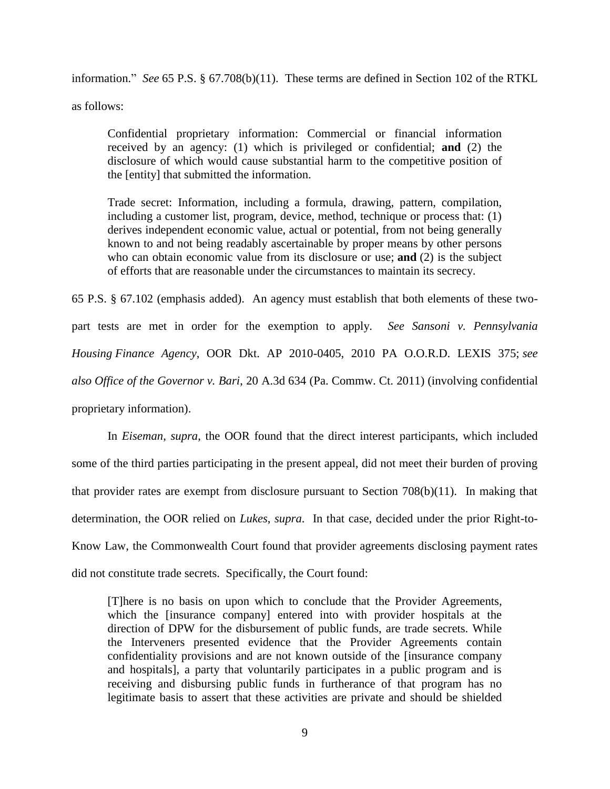information." *See* 65 P.S. § 67.708(b)(11). These terms are defined in Section 102 of the RTKL as follows:

Confidential proprietary information: Commercial or financial information received by an agency: (1) which is privileged or confidential; **and** (2) the disclosure of which would cause substantial harm to the competitive position of the [entity] that submitted the information.

Trade secret: Information, including a formula, drawing, pattern, compilation, including a customer list, program, device, method, technique or process that: (1) derives independent economic value, actual or potential, from not being generally known to and not being readably ascertainable by proper means by other persons who can obtain economic value from its disclosure or use; **and** (2) is the subject of efforts that are reasonable under the circumstances to maintain its secrecy.

65 P.S. § 67.102 (emphasis added). An agency must establish that both elements of these twopart tests are met in order for the exemption to apply. *See Sansoni v. Pennsylvania Housing Finance Agency*, OOR Dkt. AP 2010-0405, 2010 PA O.O.R.D. LEXIS 375; *see also Office of the Governor v. Bari*, 20 A.3d 634 (Pa. Commw. Ct. 2011) (involving confidential proprietary information).

In *Eiseman*, *supra*, the OOR found that the direct interest participants, which included some of the third parties participating in the present appeal, did not meet their burden of proving that provider rates are exempt from disclosure pursuant to Section 708(b)(11). In making that determination, the OOR relied on *Lukes*, *supra*. In that case, decided under the prior Right-to-Know Law, the Commonwealth Court found that provider agreements disclosing payment rates did not constitute trade secrets. Specifically, the Court found:

[T]here is no basis on upon which to conclude that the Provider Agreements, which the [insurance company] entered into with provider hospitals at the direction of DPW for the disbursement of public funds, are trade secrets. While the Interveners presented evidence that the Provider Agreements contain confidentiality provisions and are not known outside of the [insurance company and hospitals], a party that voluntarily participates in a public program and is receiving and disbursing public funds in furtherance of that program has no legitimate basis to assert that these activities are private and should be shielded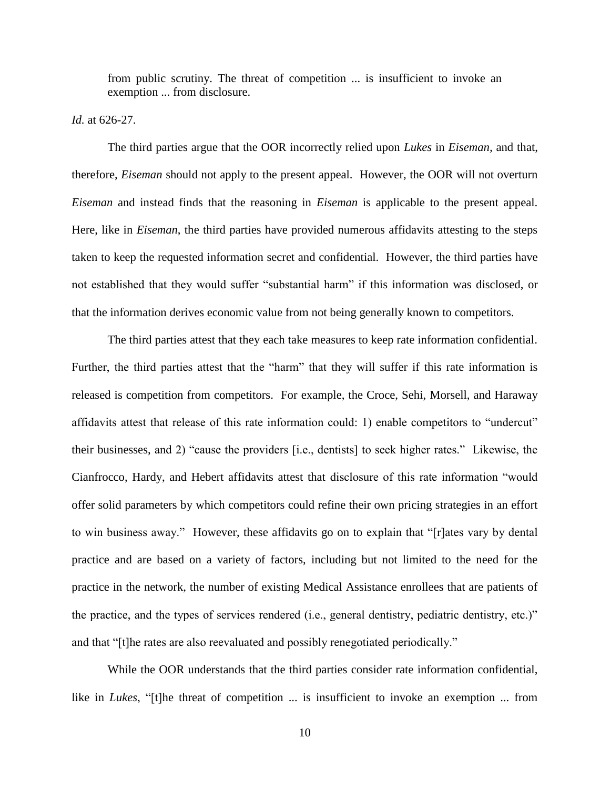from public scrutiny. The threat of competition ... is insufficient to invoke an exemption ... from disclosure.

### *Id.* at 626-27.

The third parties argue that the OOR incorrectly relied upon *Lukes* in *Eiseman,* and that, therefore, *Eiseman* should not apply to the present appeal. However, the OOR will not overturn *Eiseman* and instead finds that the reasoning in *Eiseman* is applicable to the present appeal. Here, like in *Eiseman*, the third parties have provided numerous affidavits attesting to the steps taken to keep the requested information secret and confidential. However, the third parties have not established that they would suffer "substantial harm" if this information was disclosed, or that the information derives economic value from not being generally known to competitors.

The third parties attest that they each take measures to keep rate information confidential. Further, the third parties attest that the "harm" that they will suffer if this rate information is released is competition from competitors. For example, the Croce, Sehi, Morsell, and Haraway affidavits attest that release of this rate information could: 1) enable competitors to "undercut" their businesses, and 2) "cause the providers [i.e., dentists] to seek higher rates." Likewise, the Cianfrocco, Hardy, and Hebert affidavits attest that disclosure of this rate information "would offer solid parameters by which competitors could refine their own pricing strategies in an effort to win business away." However, these affidavits go on to explain that "[r]ates vary by dental practice and are based on a variety of factors, including but not limited to the need for the practice in the network, the number of existing Medical Assistance enrollees that are patients of the practice, and the types of services rendered (i.e., general dentistry, pediatric dentistry, etc.)" and that "[t]he rates are also reevaluated and possibly renegotiated periodically."

While the OOR understands that the third parties consider rate information confidential, like in *Lukes*, "[t]he threat of competition ... is insufficient to invoke an exemption ... from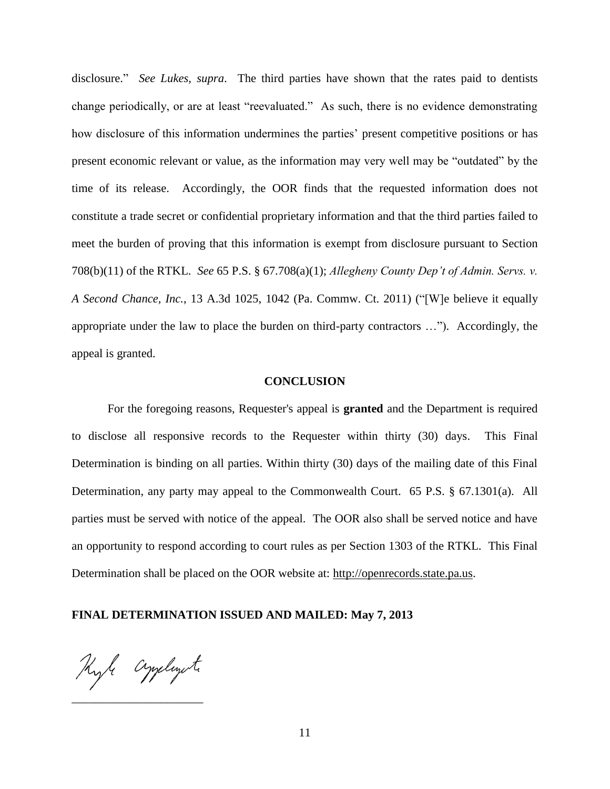disclosure." *See Lukes*, *supra*. The third parties have shown that the rates paid to dentists change periodically, or are at least "reevaluated." As such, there is no evidence demonstrating how disclosure of this information undermines the parties' present competitive positions or has present economic relevant or value, as the information may very well may be "outdated" by the time of its release. Accordingly, the OOR finds that the requested information does not constitute a trade secret or confidential proprietary information and that the third parties failed to meet the burden of proving that this information is exempt from disclosure pursuant to Section 708(b)(11) of the RTKL. *See* 65 P.S. § 67.708(a)(1); *Allegheny County Dep't of Admin. Servs. v. A Second Chance, Inc.*, 13 A.3d 1025, 1042 (Pa. Commw. Ct. 2011) ("[W]e believe it equally appropriate under the law to place the burden on third-party contractors …"). Accordingly, the appeal is granted.

#### **CONCLUSION**

For the foregoing reasons, Requester's appeal is **granted** and the Department is required to disclose all responsive records to the Requester within thirty (30) days. This Final Determination is binding on all parties. Within thirty (30) days of the mailing date of this Final Determination, any party may appeal to the Commonwealth Court. 65 P.S. § 67.1301(a). All parties must be served with notice of the appeal. The OOR also shall be served notice and have an opportunity to respond according to court rules as per Section 1303 of the RTKL. This Final Determination shall be placed on the OOR website at: [http://openrecords.state.pa.us.](http://openrecords.state.pa.us/)

#### **FINAL DETERMINATION ISSUED AND MAILED: May 7, 2013**

Kyle Cynelegete

\_\_\_\_\_\_\_\_\_\_\_\_\_\_\_\_\_\_\_\_\_\_